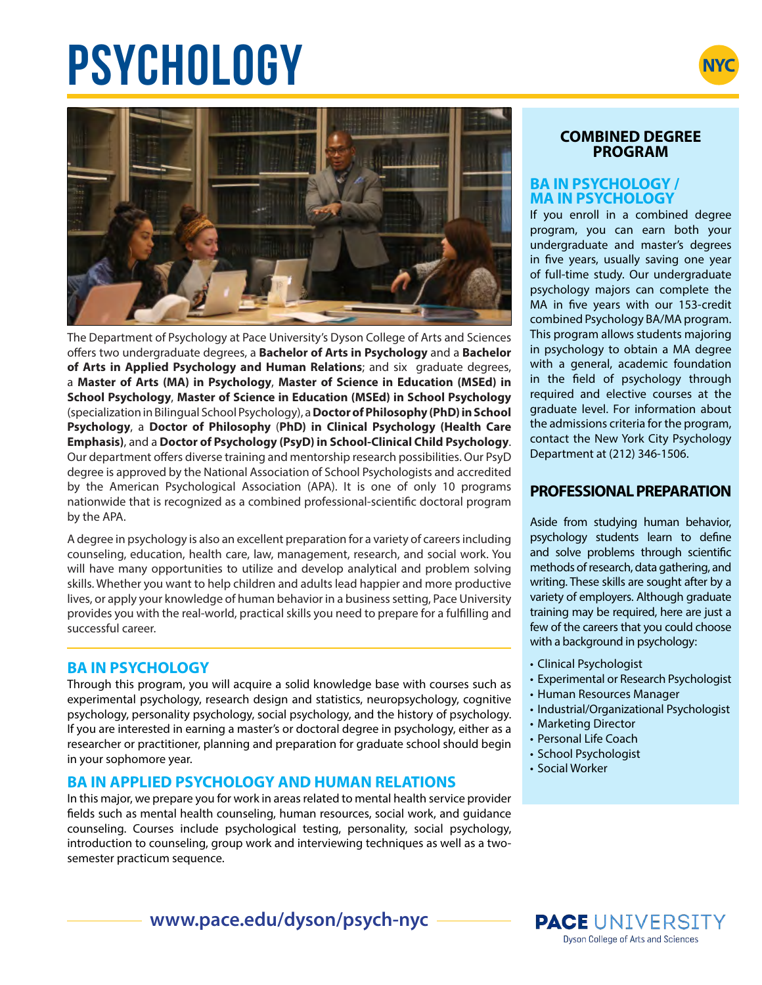# **PSYCHOLOGY**





The Department of Psychology at Pace University's Dyson College of Arts and Sciences offers two undergraduate degrees, a **Bachelor of Arts in Psychology** and a **Bachelor of Arts in Applied Psychology and Human Relations**; and six graduate degrees, a **Master of Arts (MA) in Psychology**, **Master of Science in Education (MSEd) in School Psychology**, **Master of Science in Education (MSEd) in School Psychology**  (specialization in Bilingual School Psychology), a **Doctor of Philosophy (PhD) in School Psychology**, a **Doctor of Philosophy** (**PhD) in Clinical Psychology (Health Care Emphasis)**, and a **Doctor of Psychology (PsyD) in School-Clinical Child Psychology**. Our department offers diverse training and mentorship research possibilities. Our PsyD degree is approved by the National Association of School Psychologists and accredited by the American Psychological Association (APA). It is one of only 10 programs nationwide that is recognized as a combined professional-scientific doctoral program by the APA.

A degree in psychology is also an excellent preparation for a variety of careers including counseling, education, health care, law, management, research, and social work. You will have many opportunities to utilize and develop analytical and problem solving skills. Whether you want to help children and adults lead happier and more productive lives, or apply your knowledge of human behavior in a business setting, Pace University provides you with the real-world, practical skills you need to prepare for a fulfilling and successful career.

### **BA IN PSYCHOLOGY**

Through this program, you will acquire a solid knowledge base with courses such as experimental psychology, research design and statistics, neuropsychology, cognitive psychology, personality psychology, social psychology, and the history of psychology. If you are interested in earning a master's or doctoral degree in psychology, either as a researcher or practitioner, planning and preparation for graduate school should begin in your sophomore year.

## **BA IN APPLIED PSYCHOLOGY AND HUMAN RELATIONS**

In this major, we prepare you for work in areas related to mental health service provider fields such as mental health counseling, human resources, social work, and guidance counseling. Courses include psychological testing, personality, social psychology, introduction to counseling, group work and interviewing techniques as well as a twosemester practicum sequence.

#### **COMBINED DEGREE PROGRAM**

#### **BA IN PSYCHOLOGY / MA IN PSYCHOLOGY**

If you enroll in a combined degree program, you can earn both your undergraduate and master's degrees in five years, usually saving one year of full-time study. Our undergraduate psychology majors can complete the MA in five years with our 153-credit combined Psychology BA/MA program. This program allows students majoring in psychology to obtain a MA degree with a general, academic foundation in the field of psychology through required and elective courses at the graduate level. For information about the admissions criteria for the program, contact the New York City Psychology Department at (212) 346-1506.

## **PROFESSIONAL PREPARATION**

Aside from studying human behavior, psychology students learn to define and solve problems through scientific methods of research, data gathering, and writing. These skills are sought after by a variety of employers. Although graduate training may be required, here are just a few of the careers that you could choose with a background in psychology:

- Clinical Psychologist
- Experimental or Research Psychologist
- Human Resources Manager
- Industrial/Organizational Psychologist
- Marketing Director
- Personal Life Coach
- School Psychologist
- Social Worker

**www.pace.edu/dyson/psych-nyc**